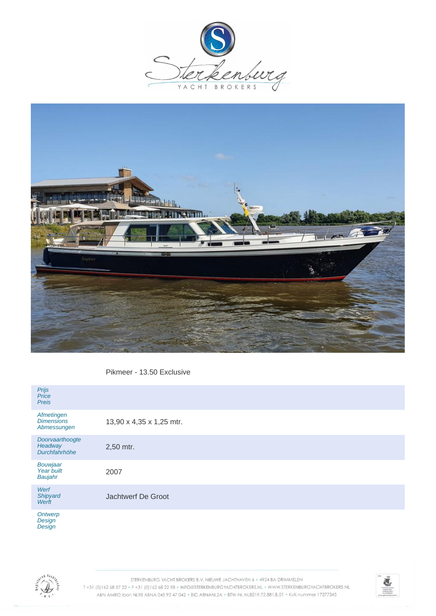



Pikmeer - 13.50 Exclusive

| Prijs<br>Price<br><b>Preis</b>                 |                          |
|------------------------------------------------|--------------------------|
| Afmetingen<br><b>Dimensions</b><br>Abmessungen | 13,90 x 4,35 x 1,25 mtr. |
| Doorvaarthoogte<br>Headway<br>Durchfahrhöhe    | 2,50 mtr.                |
| Bouwjaar<br>Year built<br>Baujahr              | 2007                     |
| Werf<br>Shipyard<br>Werft                      | Jachtwerf De Groot       |
| Ontwerp<br>Desian                              |                          |

**Design Design** 



STERKENBURG YACHT BROKERS B.V. NIEUWE JACHTHAVEN 6 · 4924 BA DRIMMELEN T+31 (0) 162 68 57 22 · F+31 (0) 162 68 22 98 · INFO@STERKENBURGYACHTBROKERS.NL · WWW.STERKENBURGYACHTBROKERS.NL ABN AMRO Iban NL98 ABNA 045 92 47 042 . BIC ABNANL2A . BTW-Nr. NL8219.72.881.B.01 . KvK-nummer 17277345

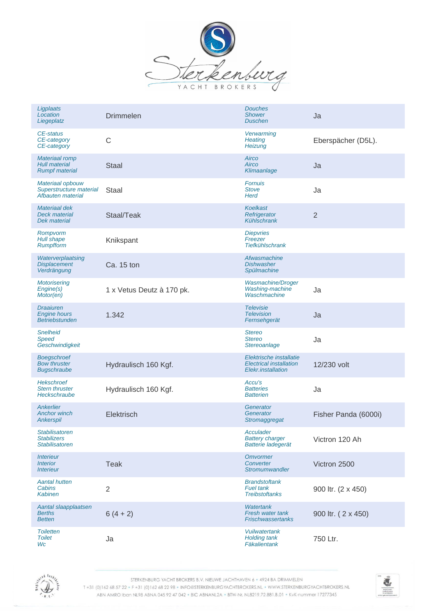

| Ligplaats<br>Location<br>Liegeplatz                                    | <b>Drimmelen</b>          | <b>Douches</b><br><b>Shower</b><br><b>Duschen</b>                               | Ja                   |
|------------------------------------------------------------------------|---------------------------|---------------------------------------------------------------------------------|----------------------|
| CE-status<br>CE-category<br>CE-category                                | $\mathsf{C}$              | <b>Verwarming</b><br><b>Heating</b><br>Heizung                                  | Eberspächer (D5L).   |
| <b>Materiaal romp</b><br><b>Hull material</b><br><b>Rumpf material</b> | <b>Staal</b>              | Airco<br>Airco<br>Klimaanlage                                                   | Ja                   |
| Materiaal opbouw<br>Superstructure material<br>Afbauten material       | Staal                     | <b>Fornuis</b><br><b>Stove</b><br><b>Herd</b>                                   | Ja                   |
| <b>Materiaal dek</b><br>Deck material<br><b>Dek material</b>           | Staal/Teak                | <b>Koelkast</b><br>Refrigerator<br>Kühlschrank                                  | $\overline{2}$       |
| Rompvorm<br>Hull shape<br><b>Rumpfform</b>                             | Knikspant                 | <b>Diepvries</b><br>Freezer<br><b>Tiefkühlschrank</b>                           |                      |
| Waterverplaatsing<br><b>Displacement</b><br>Verdrängung                | Ca. 15 ton                | Afwasmachine<br><b>Dishwasher</b><br>Spülmachine                                |                      |
| <b>Motorisering</b><br>Engine(s)<br>Motor(en)                          | 1 x Vetus Deutz à 170 pk. | <b>Wasmachine/Droger</b><br>Washing-machine<br>Waschmachine                     | Ja                   |
| <b>Draaiuren</b><br><b>Engine hours</b><br><b>Betriebstunden</b>       | 1.342                     | <b>Televisie</b><br><b>Television</b><br>Fernsehgerät                           | Ja                   |
| <b>Snelheid</b><br><b>Speed</b><br>Geschwindigkeit                     |                           | <b>Stereo</b><br><b>Stereo</b><br>Stereoanlage                                  | Ja                   |
| <b>Boegschroef</b><br><b>Bow thruster</b><br><b>Bugschraube</b>        | Hydraulisch 160 Kgf.      | Elektrische installatie<br><b>Electrical installation</b><br>Elekr.installation | 12/230 volt          |
| <b>Hekschroef</b><br><b>Stern thruster</b><br>Heckschraube             | Hydraulisch 160 Kgf.      | Accu's<br><b>Batteries</b><br><b>Batterien</b>                                  | Ja                   |
| Ankerlier<br><b>Anchor winch</b><br><b>Ankerspil</b>                   | Elektrisch                | Generator<br>Generator<br>Stromaggregat                                         | Fisher Panda (6000i) |
| <b>Stabilisatoren</b><br><b>Stabilizers</b><br><b>Stabilisatoren</b>   |                           | Acculader<br><b>Battery charger</b><br>Batterie ladegerät                       | Victron 120 Ah       |
| <i><b>Interieur</b></i><br><b>Interior</b><br><i><b>Interieur</b></i>  | <b>Teak</b>               | Omvormer<br>Converter<br>Stromumwandler                                         | Victron 2500         |
| <b>Aantal hutten</b><br>Cabins<br><b>Kabinen</b>                       | $\overline{2}$            | <b>Brandstoftank</b><br><b>Fuel tank</b><br><b>Treibstoftanks</b>               | 900 ltr. (2 x 450)   |
| Aantal slaapplaatsen<br><b>Berths</b><br><b>Betten</b>                 | $6(4+2)$                  | <b>Watertank</b><br>Fresh water tank<br><b>Frischwassertanks</b>                | 900 ltr. (2 x 450)   |
| <b>Toiletten</b><br><b>Toilet</b><br>Wc                                | Ja                        | <b>Vuilwatertank</b><br><b>Holding tank</b><br>Fäkalientank                     | 750 Ltr.             |



STERKENBURG YACHT BROKERS B.V. NIEUWE JACHTHAVEN 6 · 4924 BA DRIMMELEN

T+31 (0)162 68 57 22 · F+31 (0)162 68 22 98 · INFO@STERKENBURGYACHTBROKERS.NL · WWW.STERKENBURGYACHTBROKERS.NL ABN AMRO Iban NL98 ABNA 045 92 47 042 . BIC ABNANL2A . BTW-Nr. NL8219.72.881.B.01 . KvK-nummer 17277345